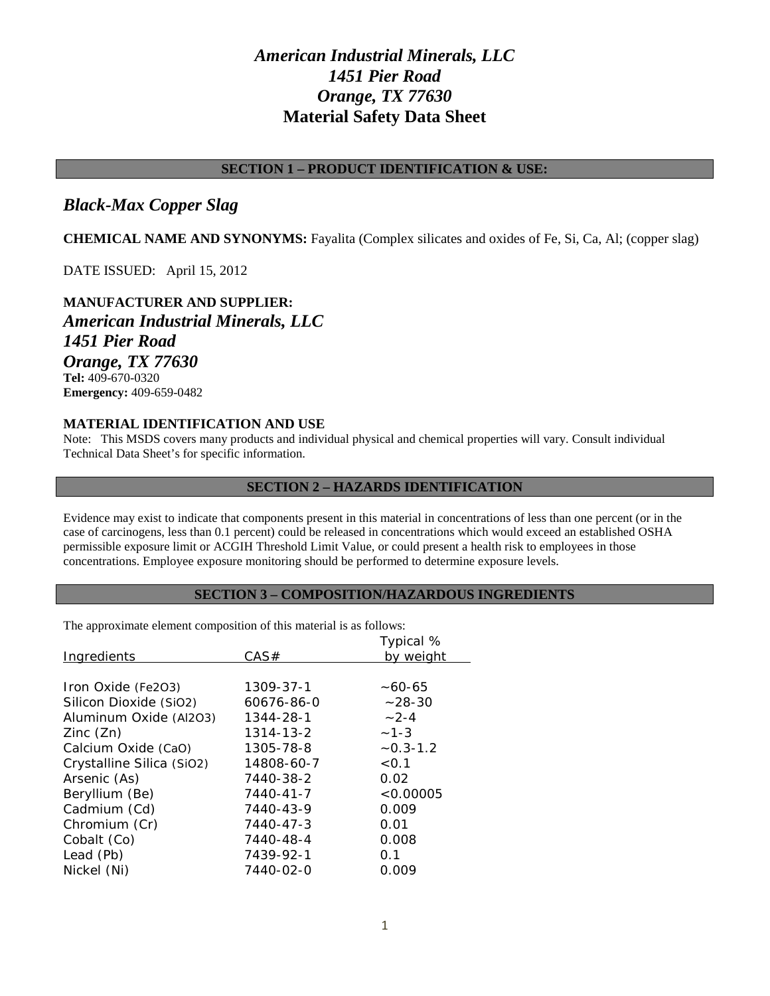# *American Industrial Minerals, LLC 1451 Pier Road Orange, TX 77630* **Material Safety Data Sheet**

# **SECTION 1 – PRODUCT IDENTIFICATION & USE:**

# *Black-Max Copper Slag*

**CHEMICAL NAME AND SYNONYMS:** Fayalita (Complex silicates and oxides of Fe, Si, Ca, Al; (copper slag)

DATE ISSUED: April 15, 2012

**MANUFACTURER AND SUPPLIER:** *American Industrial Minerals, LLC 1451 Pier Road Orange, TX 77630* **Tel:** 409-670-0320 **Emergency:** 409-659-0482

# **MATERIAL IDENTIFICATION AND USE**

Note: This MSDS covers many products and individual physical and chemical properties will vary. Consult individual Technical Data Sheet's for specific information.

# **SECTION 2 – HAZARDS IDENTIFICATION**

Evidence may exist to indicate that components present in this material in concentrations of less than one percent (or in the case of carcinogens, less than 0.1 percent) could be released in concentrations which would exceed an established OSHA permissible exposure limit or ACGIH Threshold Limit Value, or could present a health risk to employees in those concentrations. Employee exposure monitoring should be performed to determine exposure levels.

# **SECTION 3 – COMPOSITION/HAZARDOUS INGREDIENTS**

The approximate element composition of this material is as follows:

|                           |            | Typical %    |
|---------------------------|------------|--------------|
| <b>Ingredients</b>        | CAS#       | by weight    |
|                           |            |              |
| Iron Oxide (Fe2O3)        | 1309-37-1  | $~10 - 65$   |
| Silicon Dioxide (SiO2)    | 60676-86-0 | $~28 - 30$   |
| Aluminum Oxide (Al2O3)    | 1344-28-1  | $-2-4$       |
| Zinc(Zn)                  | 1314-13-2  | $-1-3$       |
| Calcium Oxide (CaO)       | 1305-78-8  | $-0.3 - 1.2$ |
| Crystalline Silica (SiO2) | 14808-60-7 | < 0.1        |
| Arsenic (As)              | 7440-38-2  | 0.02         |
| Beryllium (Be)            | 7440-41-7  | < 0.00005    |
| Cadmium (Cd)              | 7440-43-9  | 0.009        |
| Chromium (Cr)             | 7440-47-3  | 0.01         |
| Cobalt (Co)               | 7440-48-4  | 0.008        |
| Lead (Pb)                 | 7439-92-1  | 0.1          |
| Nickel (Ni)               | 7440-02-0  | 0.009        |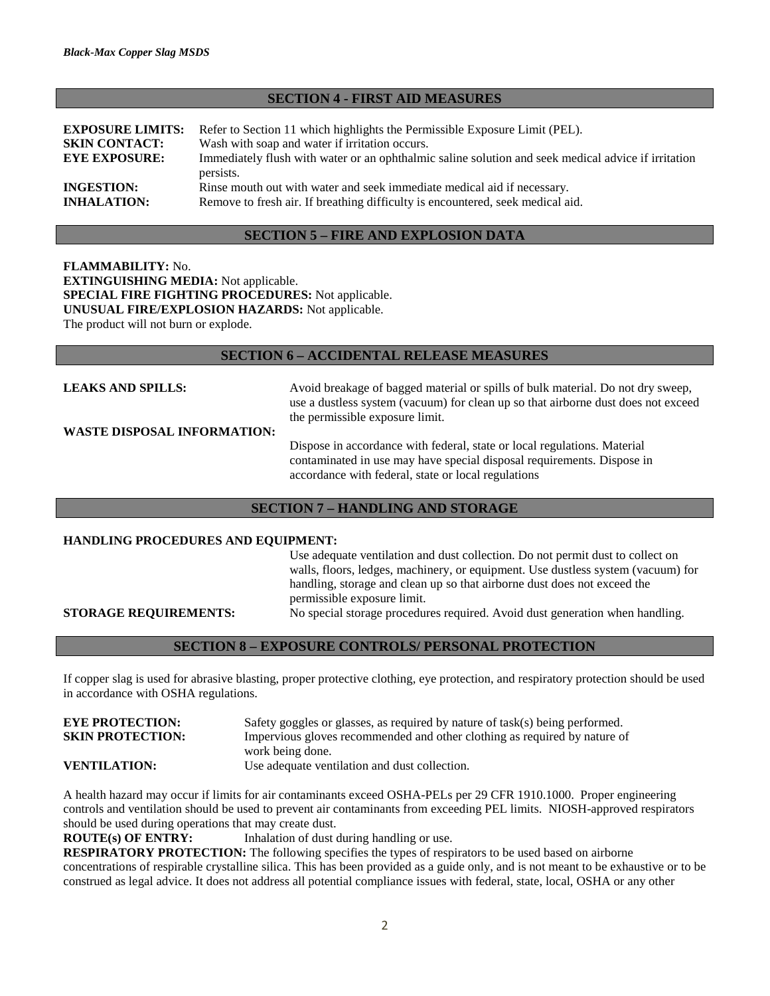#### **SECTION 4 - FIRST AID MEASURES**

| <b>EXPOSURE LIMITS:</b><br><b>SKIN CONTACT:</b><br><b>EYE EXPOSURE:</b> | Refer to Section 11 which highlights the Permissible Exposure Limit (PEL).<br>Wash with soap and water if irritation occurs.<br>Immediately flush with water or an ophthalmic saline solution and seek medical advice if irritation<br>persists. |
|-------------------------------------------------------------------------|--------------------------------------------------------------------------------------------------------------------------------------------------------------------------------------------------------------------------------------------------|
| <b>INGESTION:</b>                                                       | Rinse mouth out with water and seek immediate medical aid if necessary.                                                                                                                                                                          |
| <b>INHALATION:</b>                                                      | Remove to fresh air. If breathing difficulty is encountered, seek medical aid.                                                                                                                                                                   |

## **SECTION 5 – FIRE AND EXPLOSION DATA**

**FLAMMABILITY:** No. **EXTINGUISHING MEDIA:** Not applicable. **SPECIAL FIRE FIGHTING PROCEDURES:** Not applicable. **UNUSUAL FIRE/EXPLOSION HAZARDS:** Not applicable. The product will not burn or explode.

### **SECTION 6 – ACCIDENTAL RELEASE MEASURES**

**LEAKS AND SPILLS:** Avoid breakage of bagged material or spills of bulk material. Do not dry sweep, use a dustless system (vacuum) for clean up so that airborne dust does not exceed the permissible exposure limit.

**WASTE DISPOSAL INFORMATION:**

Dispose in accordance with federal, state or local regulations. Material contaminated in use may have special disposal requirements. Dispose in accordance with federal, state or local regulations

#### **SECTION 7 – HANDLING AND STORAGE**

#### **HANDLING PROCEDURES AND EQUIPMENT:**

Use adequate ventilation and dust collection. Do not permit dust to collect on walls, floors, ledges, machinery, or equipment. Use dustless system (vacuum) for handling, storage and clean up so that airborne dust does not exceed the permissible exposure limit.

**STORAGE REQUIREMENTS:** No special storage procedures required. Avoid dust generation when handling.

**SECTION 8 – EXPOSURE CONTROLS/ PERSONAL PROTECTION**

If copper slag is used for abrasive blasting, proper protective clothing, eye protection, and respiratory protection should be used in accordance with OSHA regulations.

**EYE PROTECTION:** Safety goggles or glasses, as required by nature of task(s) being performed. **SKIN PROTECTION:** Impervious gloves recommended and other clothing as required by nature of work being done. **VENTILATION:** Use adequate ventilation and dust collection.

A health hazard may occur if limits for air contaminants exceed OSHA-PELs per 29 CFR 1910.1000. Proper engineering controls and ventilation should be used to prevent air contaminants from exceeding PEL limits. NIOSH-approved respirators should be used during operations that may create dust.

**ROUTE(s) OF ENTRY:** Inhalation of dust during handling or use.

**RESPIRATORY PROTECTION:** The following specifies the types of respirators to be used based on airborne concentrations of respirable crystalline silica. This has been provided as a guide only, and is not meant to be exhaustive or to be construed as legal advice. It does not address all potential compliance issues with federal, state, local, OSHA or any other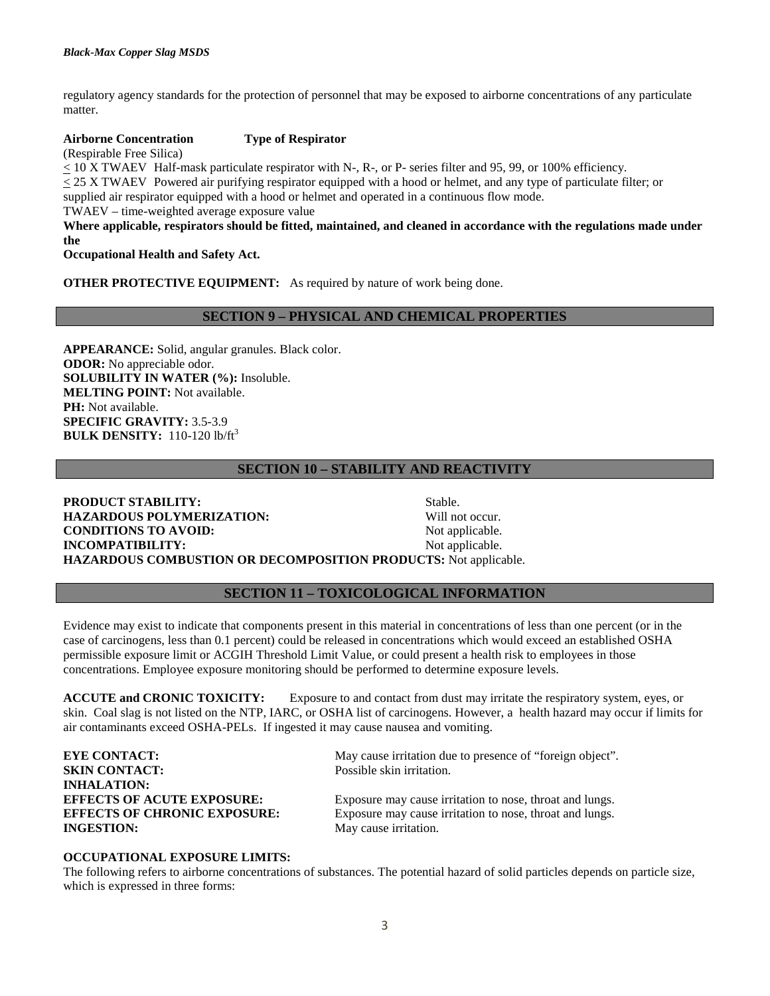regulatory agency standards for the protection of personnel that may be exposed to airborne concentrations of any particulate matter.

#### **Airborne Concentration Type of Respirator**

(Respirable Free Silica)

< 10 X TWAEV Half-mask particulate respirator with N-, R-, or P- series filter and 95, 99, or 100% efficiency. < 25 X TWAEV Powered air purifying respirator equipped with a hood or helmet, and any type of particulate filter; or supplied air respirator equipped with a hood or helmet and operated in a continuous flow mode.

TWAEV – time-weighted average exposure value

**Where applicable, respirators should be fitted, maintained, and cleaned in accordance with the regulations made under the**

**Occupational Health and Safety Act.**

**OTHER PROTECTIVE EQUIPMENT:** As required by nature of work being done.

### **SECTION 9 – PHYSICAL AND CHEMICAL PROPERTIES**

**APPEARANCE:** Solid, angular granules. Black color. **ODOR:** No appreciable odor. **SOLUBILITY IN WATER (%):** Insoluble. **MELTING POINT:** Not available. **PH:** Not available. **SPECIFIC GRAVITY:** 3.5-3.9 **BULK DENSITY:** 110-120 lb/ft<sup>3</sup>

# **SECTION 10 – STABILITY AND REACTIVITY**

**PRODUCT STABILITY:** Stable. **HAZARDOUS POLYMERIZATION:** Will not occur. **CONDITIONS TO AVOID:** Not applicable. **INCOMPATIBILITY:** Not applicable. **HAZARDOUS COMBUSTION OR DECOMPOSITION PRODUCTS:** Not applicable.

# **SECTION 11 – TOXICOLOGICAL INFORMATION**

Evidence may exist to indicate that components present in this material in concentrations of less than one percent (or in the case of carcinogens, less than 0.1 percent) could be released in concentrations which would exceed an established OSHA permissible exposure limit or ACGIH Threshold Limit Value, or could present a health risk to employees in those concentrations. Employee exposure monitoring should be performed to determine exposure levels.

**ACCUTE and CRONIC TOXICITY:** Exposure to and contact from dust may irritate the respiratory system, eyes, or skin. Coal slag is not listed on the NTP, IARC, or OSHA list of carcinogens. However, a health hazard may occur if limits for air contaminants exceed OSHA-PELs. If ingested it may cause nausea and vomiting.

| <b>EYE CONTACT:</b>                 | May cause irritation due to presence of "foreign object". |
|-------------------------------------|-----------------------------------------------------------|
| <b>SKIN CONTACT:</b>                | Possible skin irritation.                                 |
| <b>INHALATION:</b>                  |                                                           |
| <b>EFFECTS OF ACUTE EXPOSURE:</b>   | Exposure may cause irritation to nose, throat and lungs.  |
| <b>EFFECTS OF CHRONIC EXPOSURE:</b> | Exposure may cause irritation to nose, throat and lungs.  |
| <b>INGESTION:</b>                   | May cause irritation.                                     |
|                                     |                                                           |

#### **OCCUPATIONAL EXPOSURE LIMITS:**

The following refers to airborne concentrations of substances. The potential hazard of solid particles depends on particle size, which is expressed in three forms: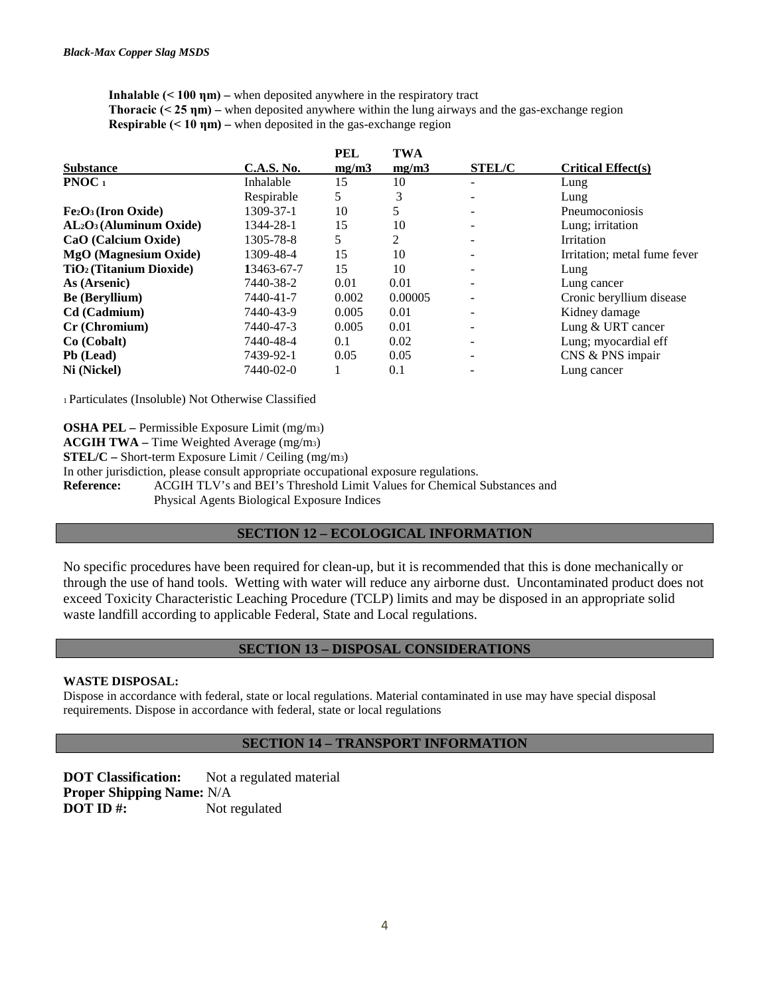**Inhalable (< 100 ηm) –** when deposited anywhere in the respiratory tract **Thoracic (< 25 nm) – when deposited anywhere within the lung airways and the gas-exchange region Respirable (< 10 ηm) –** when deposited in the gas-exchange region

| <b>C.A.S. No.</b> | mg/m3 | mg/m3      | <b>STEL/C</b>            | <b>Critical Effect(s)</b>    |
|-------------------|-------|------------|--------------------------|------------------------------|
| Inhalable         | 15    | 10         |                          | Lung                         |
| Respirable        | 5     | 3          |                          | Lung                         |
| 1309-37-1         | 10    |            |                          | Pneumoconiosis               |
| 1344-28-1         | 15    | 10         | $\overline{\phantom{a}}$ | Lung; irritation             |
| 1305-78-8         | 5     | 2          |                          | <b>Irritation</b>            |
| 1309-48-4         | 15    | 10         |                          | Irritation; metal fume fever |
| 13463-67-7        | 15    | 10         | $\overline{\phantom{a}}$ | Lung                         |
| 7440-38-2         | 0.01  | 0.01       | $\overline{\phantom{0}}$ | Lung cancer                  |
| 7440-41-7         | 0.002 | 0.00005    |                          | Cronic beryllium disease     |
| 7440-43-9         | 0.005 | 0.01       | $\overline{\phantom{a}}$ | Kidney damage                |
| 7440-47-3         | 0.005 | 0.01       | $\overline{\phantom{a}}$ | Lung & URT cancer            |
| 7440-48-4         | 0.1   | 0.02       | -                        | Lung; myocardial eff         |
| 7439-92-1         | 0.05  | 0.05       | -                        | CNS & PNS impair             |
| 7440-02-0         |       | 0.1        |                          | Lung cancer                  |
|                   |       | <b>PEL</b> | <b>TWA</b>               |                              |

1 Particulates (Insoluble) Not Otherwise Classified

**OSHA PEL –** Permissible Exposure Limit (mg/m3)

**ACGIH TWA –** Time Weighted Average (mg/m3)

**STEL/C –** Short-term Exposure Limit / Ceiling (mg/m3)

In other jurisdiction, please consult appropriate occupational exposure regulations.

**Reference:** ACGIH TLV's and BEI's Threshold Limit Values for Chemical Substances and Physical Agents Biological Exposure Indices

# **SECTION 12 – ECOLOGICAL INFORMATION**

No specific procedures have been required for clean-up, but it is recommended that this is done mechanically or through the use of hand tools. Wetting with water will reduce any airborne dust. Uncontaminated product does not exceed Toxicity Characteristic Leaching Procedure (TCLP) limits and may be disposed in an appropriate solid waste landfill according to applicable Federal, State and Local regulations.

# **SECTION 13 – DISPOSAL CONSIDERATIONS**

#### **WASTE DISPOSAL:**

Dispose in accordance with federal, state or local regulations. Material contaminated in use may have special disposal requirements. Dispose in accordance with federal, state or local regulations

# **SECTION 14 – TRANSPORT INFORMATION**

**DOT Classification:** Not a regulated material **Proper Shipping Name:** N/A **DOT ID** #: Not regulated